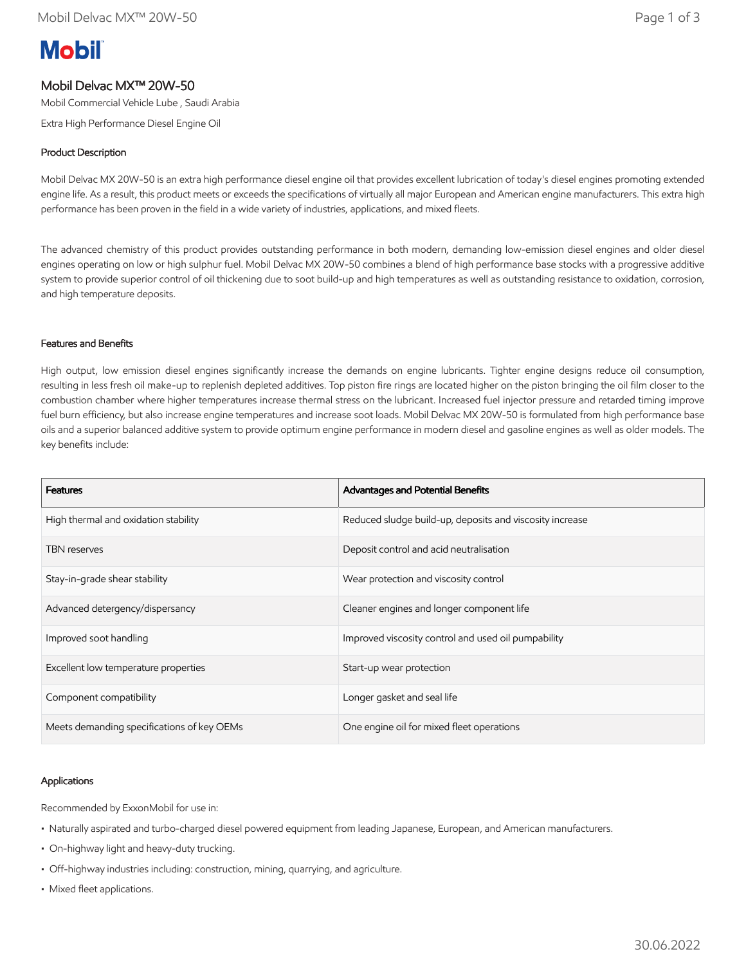# **Mobil**

# Mobil Delvac MX™ 20W-50

Mobil Commercial Vehicle Lube , Saudi Arabia

Extra High Performance Diesel Engine Oil

# Product Description

Mobil Delvac MX 20W-50 is an extra high performance diesel engine oil that provides excellent lubrication of today's diesel engines promoting extended engine life. As a result, this product meets or exceeds the specifications of virtually all major European and American engine manufacturers. This extra high performance has been proven in the field in a wide variety of industries, applications, and mixed fleets.

The advanced chemistry of this product provides outstanding performance in both modern, demanding low-emission diesel engines and older diesel engines operating on low or high sulphur fuel. Mobil Delvac MX 20W-50 combines a blend of high performance base stocks with a progressive additive system to provide superior control of oil thickening due to soot build-up and high temperatures as well as outstanding resistance to oxidation, corrosion, and high temperature deposits.

# Features and Benefits

High output, low emission diesel engines significantly increase the demands on engine lubricants. Tighter engine designs reduce oil consumption, resulting in less fresh oil make-up to replenish depleted additives. Top piston fire rings are located higher on the piston bringing the oil film closer to the combustion chamber where higher temperatures increase thermal stress on the lubricant. Increased fuel injector pressure and retarded timing improve fuel burn efficiency, but also increase engine temperatures and increase soot loads. Mobil Delvac MX 20W-50 is formulated from high performance base oils and a superior balanced additive system to provide optimum engine performance in modern diesel and gasoline engines as well as older models. The key benefits include:

| <b>Features</b>                            | Advantages and Potential Benefits                        |
|--------------------------------------------|----------------------------------------------------------|
| High thermal and oxidation stability       | Reduced sludge build-up, deposits and viscosity increase |
| <b>TBN</b> reserves                        | Deposit control and acid neutralisation                  |
| Stay-in-grade shear stability              | Wear protection and viscosity control                    |
| Advanced detergency/dispersancy            | Cleaner engines and longer component life                |
| Improved soot handling                     | Improved viscosity control and used oil pumpability      |
| Excellent low temperature properties       | Start-up wear protection                                 |
| Component compatibility                    | Longer gasket and seal life                              |
| Meets demanding specifications of key OEMs | One engine oil for mixed fleet operations                |

# Applications

Recommended by ExxonMobil for use in:

- Naturally aspirated and turbo-charged diesel powered equipment from leading Japanese, European, and American manufacturers.
- On-highway light and heavy-duty trucking.
- Off-highway industries including: construction, mining, quarrying, and agriculture.
- Mixed fleet applications.